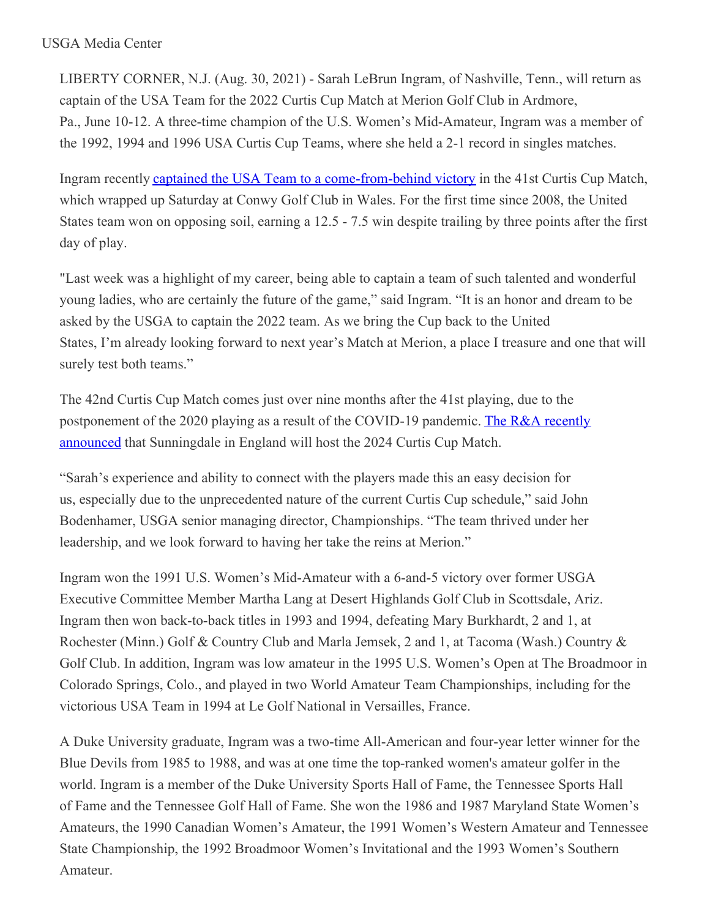## USGA Media Center

LIBERTY CORNER, N.J. (Aug. 30, 2021) - Sarah LeBrun Ingram, of Nashville, Tenn., will return as captain of the USA Team for the 2022 Curtis Cup Match at Merion Golf Club in Ardmore, Pa., June 10-12. A three-time champion of the U.S. Women's Mid-Amateur, Ingram was a member of the 1992, 1994 and 1996 USA Curtis Cup Teams, where she held a 2-1 record in singles matches.

Ingram recently captained the USA Team to a [come-from-behind](https://nam12.safelinks.protection.outlook.com/?url=https%3A%2F%2Fu7061146.ct.sendgrid.net%2Fls%2Fclick%3Fupn%3D4tNED-2FM8iDZJQyQ53jATUfWJ1QmjGedwE-2FY-2BghuALgW6Y8Dra4wU7Vw35oMZjvGrgXjGm6RnaD31hVqTgW6ut5DwLmCpUXxKhJ7W9AIt6x3FMouUOBXIF-2F60gH5XeD403pohrkb4e8FKu7VMiQD3L5Z-2F0566eW5JAlEsE5jy8g-2BLfHGJP3JFI-2Bhpt9QInHeKJJqVtSqLIqXEsKRPVO5fuMw3RdaPsArEgcoT4-2F6Pww4-3DpXXj_HSsC7-2BnYo6RFmdvmB8WxSwPfE5OKbL5GHwHc1Y4nlbMfxpPvmPmfuu2pbjSm-2FJs4CiDN-2BBwjEJj52CmYHMQwaCWnsJm7liBkUH3XLI0NRB32xH7ZAB8utZpaIAxWsN3Eujd1TofvVK8h0EwwcT9DnO5JdBJLC1r17hV0ZyfRd7YMvUV8vlINm7pRIqDZPDXVPuKqYcA7qRHiv78dAHHUwi8dk83eJ6bZNuyKuDjNgRyyQp3-2BO1e4RoCORXRxGGlgBpStYhxPwDOp3TpjI6807urgjYLD-2FKx8u4y9O5FReBIfUTaMRFGKJh86fymIa4aiTug14VV-2FIxT1dqo6zUsgGA-3D-3D&data=04%7C01%7Cjgeske%40usga.org%7Ca8bc343722624a213e2108d96bc6ec30%7C17abf7083a064391bdbd06808d1b9f81%7C0%7C0%7C637659324388772163%7CUnknown%7CTWFpbGZsb3d8eyJWIjoiMC4wLjAwMDAiLCJQIjoiV2luMzIiLCJBTiI6Ik1haWwiLCJXVCI6Mn0%3D%7C1000&sdata=Lr2hNlmAw5uS5MtfGo9CB4Y1la7jIKpYJXNME%2Bps2uI%3D&reserved=0) victory in the 41st Curtis Cup Match, which wrapped up Saturday at Conwy Golf Club in Wales. For the first time since 2008, the United States team won on opposing soil, earning a 12.5 - 7.5 win despite trailing by three points after the first day of play.

"Last week was a highlight of my career, being able to captain a team of such talented and wonderful young ladies, who are certainly the future of the game," said Ingram. "It is an honor and dream to be asked by the USGA to captain the 2022 team. As we bring the Cup back to the United States, I'm already looking forward to next year's Match at Merion, a place I treasure and one that will surely test both teams."

The 42nd Curtis Cup Match comes just over nine months after the 41st playing, due to the [postponement](https://nam12.safelinks.protection.outlook.com/?url=https%3A%2F%2Fu7061146.ct.sendgrid.net%2Fls%2Fclick%3Fupn%3D4tNED-2FM8iDZJQyQ53jATUfWJ1QmjGedwE-2FY-2BghuALgW6Y8Dra4wU7Vw35oMZjvGrgXjGm6RnaD31hVqTgW6ut5DwLmCpUXxKhJ7W9AIt6x3FMouUOBXIF-2F60gH5XeD40TZipgcVInVn48-2FTwga-2FMhVsDrl0m2czYFfWPQ5BhW8n6PwjltNAfP-2FwgIf6Qxw27tZqOVbtfMzuYcR-2Bt3CD1Dw-3D-3Ds7Ay_HSsC7-2BnYo6RFmdvmB8WxSwPfE5OKbL5GHwHc1Y4nlbMfxpPvmPmfuu2pbjSm-2FJs4CiDN-2BBwjEJj52CmYHMQwaCWnsJm7liBkUH3XLI0NRB32xH7ZAB8utZpaIAxWsN3Eujd1TofvVK8h0EwwcT9DnO5JdBJLC1r17hV0ZyfRd7YMvUV8vlINm7pRIqDZPDXVWhJIdLJXEfwFyZfpnfkh2UTeoenoMgV6fVmQZf4fTXpD7H4j1IWk-2B-2BxRwFw2MbWvEshnWossh07Mfec0o3lauaHnOqncNmerSXUyVK6cPRuMuYLomwFlDHVkero2fx060Lz2l-2FZB2of2X8BXca84Bw-3D-3D&data=04%7C01%7Cjgeske%40usga.org%7Ca8bc343722624a213e2108d96bc6ec30%7C17abf7083a064391bdbd06808d1b9f81%7C0%7C0%7C637659324388782124%7CUnknown%7CTWFpbGZsb3d8eyJWIjoiMC4wLjAwMDAiLCJQIjoiV2luMzIiLCJBTiI6Ik1haWwiLCJXVCI6Mn0%3D%7C1000&sdata=eoKBI3UypkDgLD9itcSvN6%2BnmwaPjJzqPAgth%2FzD5x4%3D&reserved=0) of the 2020 playing as a result of the COVID-19 pandemic. The R&A recently announced that Sunningdale in England will host the 2024 Curtis Cup Match.

"Sarah's experience and ability to connect with the players made this an easy decision for us, especially due to the unprecedented nature of the current Curtis Cup schedule," said John Bodenhamer, USGA senior managing director, Championships. "The team thrived under her leadership, and we look forward to having her take the reins at Merion."

Ingram won the 1991 U.S. Women's Mid-Amateur with a 6-and-5 victory over former USGA Executive Committee Member Martha Lang at Desert Highlands Golf Club in Scottsdale, Ariz. Ingram then won back-to-back titles in 1993 and 1994, defeating Mary Burkhardt, 2 and 1, at Rochester (Minn.) Golf & Country Club and Marla Jemsek, 2 and 1, at Tacoma (Wash.) Country & Golf Club. In addition, Ingram was low amateur in the 1995 U.S. Women's Open at The Broadmoor in Colorado Springs, Colo., and played in two World Amateur Team Championships, including for the victorious USA Team in 1994 at Le Golf National in Versailles, France.

A Duke University graduate, Ingram was a two-time All-American and four-year letter winner for the Blue Devils from 1985 to 1988, and was at one time the top-ranked women's amateur golfer in the world. Ingram is a member of the Duke University Sports Hall of Fame, the Tennessee Sports Hall of Fame and the Tennessee Golf Hall of Fame. She won the 1986 and 1987 Maryland State Women's Amateurs, the 1990 Canadian Women's Amateur, the 1991 Women's Western Amateur and Tennessee State Championship, the 1992 Broadmoor Women's Invitational and the 1993 Women's Southern Amateur.